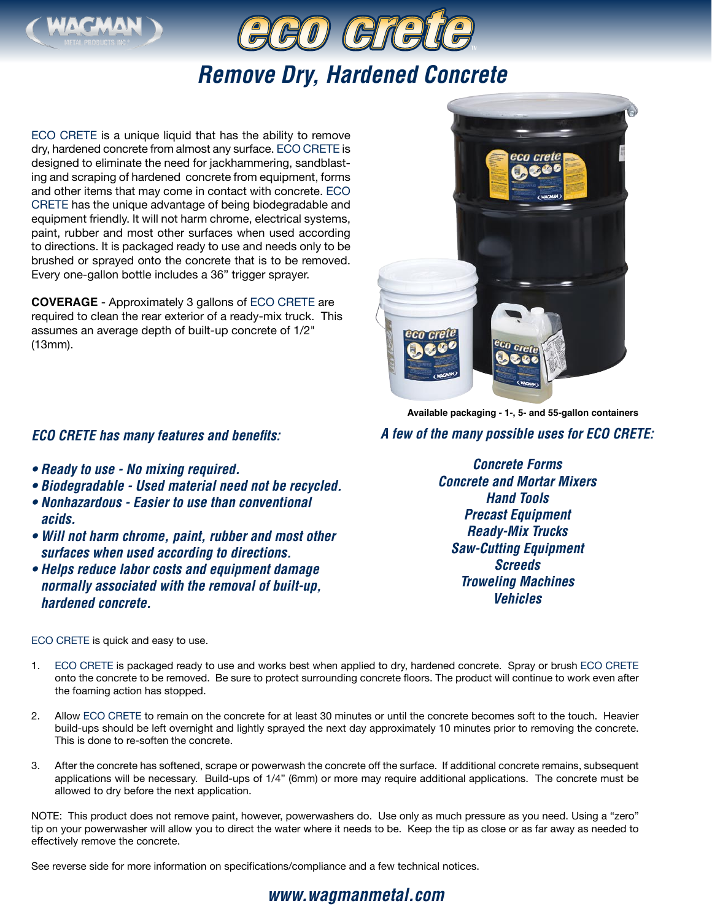



# *Remove Dry, Hardened Concrete*

ECO CRETE is a unique liquid that has the ability to remove dry, hardened concrete from almost any surface. ECO CRETE is designed to eliminate the need for jackhammering, sandblasting and scraping of hardened concrete from equipment, forms and other items that may come in contact with concrete. ECO CRETE has the unique advantage of being biodegradable and equipment friendly. It will not harm chrome, electrical systems, paint, rubber and most other surfaces when used according to directions. It is packaged ready to use and needs only to be brushed or sprayed onto the concrete that is to be removed. Every one-gallon bottle includes a 36" trigger sprayer.

**COVERAGE** - Approximately 3 gallons of ECO CRETE are required to clean the rear exterior of a ready-mix truck. This assumes an average depth of built-up concrete of 1/2" (13mm).

### *ECO CRETE has many features and benefits:*

- *Ready to use No mixing required.*
- *• Biodegradable Used material need not be recycled.*
- *Nonhazardous Easier to use than conventional acids.*
- *Will not harm chrome, paint, rubber and most other surfaces when used according to directions.*
- *Helps reduce labor costs and equipment damage normally associated with the removal of built-up, hardened concrete.*

#### ECO CRETE is quick and easy to use.



**Available packaging - 1-, 5- and 55-gallon containers**

## *A few of the many possible uses for ECO CRETE:*

*Concrete Forms Concrete and Mortar Mixers Hand Tools Precast Equipment Ready-Mix Trucks Saw-Cutting Equipment Screeds Troweling Machines Vehicles*

- 1. ECO CRETE is packaged ready to use and works best when applied to dry, hardened concrete. Spray or brush ECO CRETE onto the concrete to be removed. Be sure to protect surrounding concrete floors. The product will continue to work even after the foaming action has stopped.
- 2. Allow ECO CRETE to remain on the concrete for at least 30 minutes or until the concrete becomes soft to the touch. Heavier build-ups should be left overnight and lightly sprayed the next day approximately 10 minutes prior to removing the concrete. This is done to re-soften the concrete.
- 3. After the concrete has softened, scrape or powerwash the concrete off the surface. If additional concrete remains, subsequent applications will be necessary. Build-ups of 1/4" (6mm) or more may require additional applications. The concrete must be allowed to dry before the next application.

NOTE: This product does not remove paint, however, powerwashers do. Use only as much pressure as you need. Using a "zero" tip on your powerwasher will allow you to direct the water where it needs to be. Keep the tip as close or as far away as needed to effectively remove the concrete.

See reverse side for more information on specifications/compliance and a few technical notices.

# *www.wagmanmetal.com*